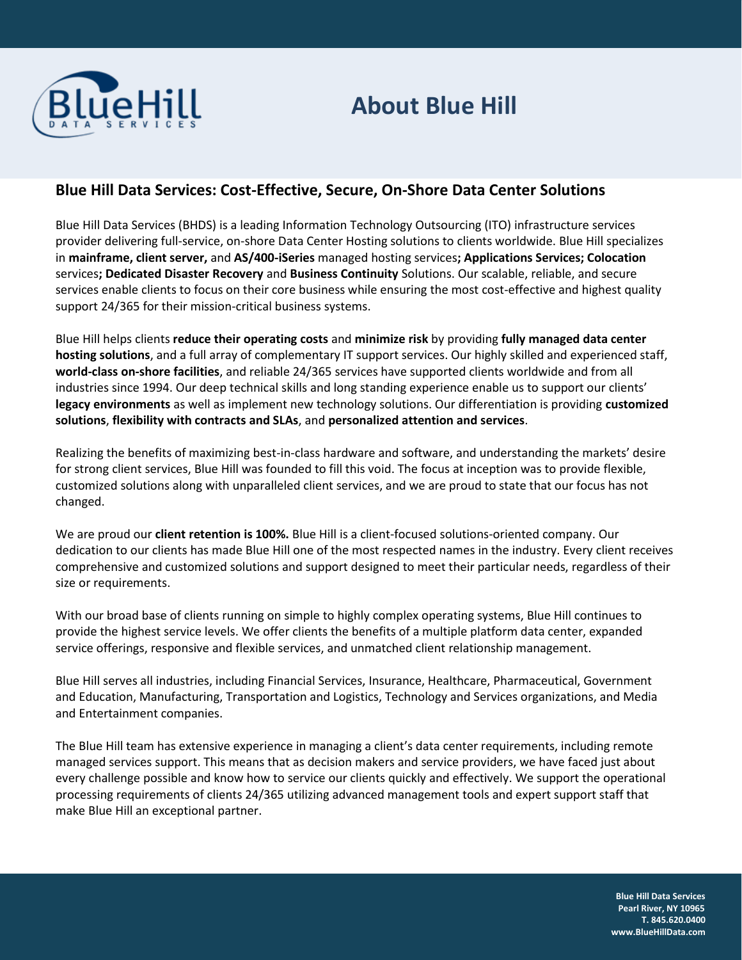

## **About Blue Hill**

## **Blue Hill Data Services: Cost-Effective, Secure, On-Shore Data Center Solutions**

Blue Hill Data Services (BHDS) is a leading Information Technology Outsourcing (ITO) infrastructure services provider delivering full-service, on-shore Data Center Hosting solutions to clients worldwide. Blue Hill specializes in **mainframe, client server,** and **AS/400-iSeries** managed hosting services**; Applications Services; Colocation**  services**; Dedicated Disaster Recovery** and **Business Continuity** Solutions. Our scalable, reliable, and secure services enable clients to focus on their core business while ensuring the most cost-effective and highest quality support 24/365 for their mission-critical business systems.

Blue Hill helps clients **reduce their operating costs** and **minimize risk** by providing **fully managed data center hosting solutions**, and a full array of complementary IT support services. Our highly skilled and experienced staff, **world-class on-shore facilities**, and reliable 24/365 services have supported clients worldwide and from all industries since 1994. Our deep technical skills and long standing experience enable us to support our clients' **legacy environments** as well as implement new technology solutions. Our differentiation is providing **customized solutions**, **flexibility with contracts and SLAs**, and **personalized attention and services**.

Realizing the benefits of maximizing best-in-class hardware and software, and understanding the markets' desire for strong client services, Blue Hill was founded to fill this void. The focus at inception was to provide flexible, customized solutions along with unparalleled client services, and we are proud to state that our focus has not changed.

We are proud our **client retention is 100%.** Blue Hill is a client-focused solutions-oriented company. Our dedication to our clients has made Blue Hill one of the most respected names in the industry. Every client receives comprehensive and customized solutions and support designed to meet their particular needs, regardless of their size or requirements.

With our broad base of clients running on simple to highly complex operating systems, Blue Hill continues to provide the highest service levels. We offer clients the benefits of a multiple platform data center, expanded service offerings, responsive and flexible services, and unmatched client relationship management.

Blue Hill serves all industries, including Financial Services, Insurance, Healthcare, Pharmaceutical, Government and Education, Manufacturing, Transportation and Logistics, Technology and Services organizations, and Media and Entertainment companies.

The Blue Hill team has extensive experience in managing a client's data center requirements, including remote managed services support. This means that as decision makers and service providers, we have faced just about every challenge possible and know how to service our clients quickly and effectively. We support the operational processing requirements of clients 24/365 utilizing advanced management tools and expert support staff that make Blue Hill an exceptional partner.

> **Blue Hill Data Services Pearl River, NY 10965 T. 845.620.0400 www.BlueHillData.com**